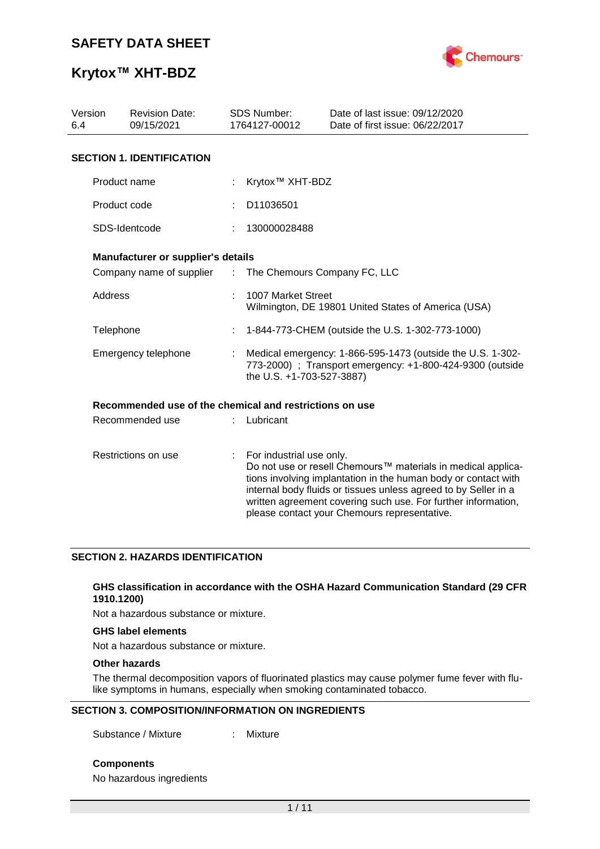

# **Krytox™ XHT-BDZ**

| Version<br><b>Revision Date:</b><br>6.4<br>09/15/2021 |                                                         |               | <b>SDS Number:</b><br>1764127-00012                                                                                                                  | Date of last issue: 09/12/2020<br>Date of first issue: 06/22/2017                                                                                                                                                                                                                                                  |  |
|-------------------------------------------------------|---------------------------------------------------------|---------------|------------------------------------------------------------------------------------------------------------------------------------------------------|--------------------------------------------------------------------------------------------------------------------------------------------------------------------------------------------------------------------------------------------------------------------------------------------------------------------|--|
|                                                       | <b>SECTION 1. IDENTIFICATION</b>                        |               |                                                                                                                                                      |                                                                                                                                                                                                                                                                                                                    |  |
|                                                       | Product name                                            |               | Krytox <sup>™</sup> XHT-BDZ                                                                                                                          |                                                                                                                                                                                                                                                                                                                    |  |
|                                                       | Product code                                            |               | D11036501                                                                                                                                            |                                                                                                                                                                                                                                                                                                                    |  |
|                                                       | SDS-Identcode                                           |               | 130000028488                                                                                                                                         |                                                                                                                                                                                                                                                                                                                    |  |
|                                                       | Manufacturer or supplier's details                      |               |                                                                                                                                                      |                                                                                                                                                                                                                                                                                                                    |  |
|                                                       | Company name of supplier                                | $\mathcal{L}$ | The Chemours Company FC, LLC                                                                                                                         |                                                                                                                                                                                                                                                                                                                    |  |
| Address                                               |                                                         |               | 1007 Market Street                                                                                                                                   | Wilmington, DE 19801 United States of America (USA)                                                                                                                                                                                                                                                                |  |
|                                                       | Telephone                                               |               | 1-844-773-CHEM (outside the U.S. 1-302-773-1000)                                                                                                     |                                                                                                                                                                                                                                                                                                                    |  |
| Emergency telephone                                   |                                                         |               | Medical emergency: 1-866-595-1473 (outside the U.S. 1-302-<br>773-2000) ; Transport emergency: +1-800-424-9300 (outside<br>the U.S. +1-703-527-3887) |                                                                                                                                                                                                                                                                                                                    |  |
|                                                       | Recommended use of the chemical and restrictions on use |               |                                                                                                                                                      |                                                                                                                                                                                                                                                                                                                    |  |
|                                                       | Recommended use                                         |               | Lubricant                                                                                                                                            |                                                                                                                                                                                                                                                                                                                    |  |
|                                                       | Restrictions on use                                     | ÷.            | For industrial use only.                                                                                                                             | Do not use or resell Chemours™ materials in medical applica-<br>tions involving implantation in the human body or contact with<br>internal body fluids or tissues unless agreed to by Seller in a<br>written agreement covering such use. For further information,<br>please contact your Chemours representative. |  |

### **SECTION 2. HAZARDS IDENTIFICATION**

#### **GHS classification in accordance with the OSHA Hazard Communication Standard (29 CFR 1910.1200)**

Not a hazardous substance or mixture.

#### **GHS label elements**

Not a hazardous substance or mixture.

#### **Other hazards**

The thermal decomposition vapors of fluorinated plastics may cause polymer fume fever with flulike symptoms in humans, especially when smoking contaminated tobacco.

#### **SECTION 3. COMPOSITION/INFORMATION ON INGREDIENTS**

Substance / Mixture : Mixture

**Components**

No hazardous ingredients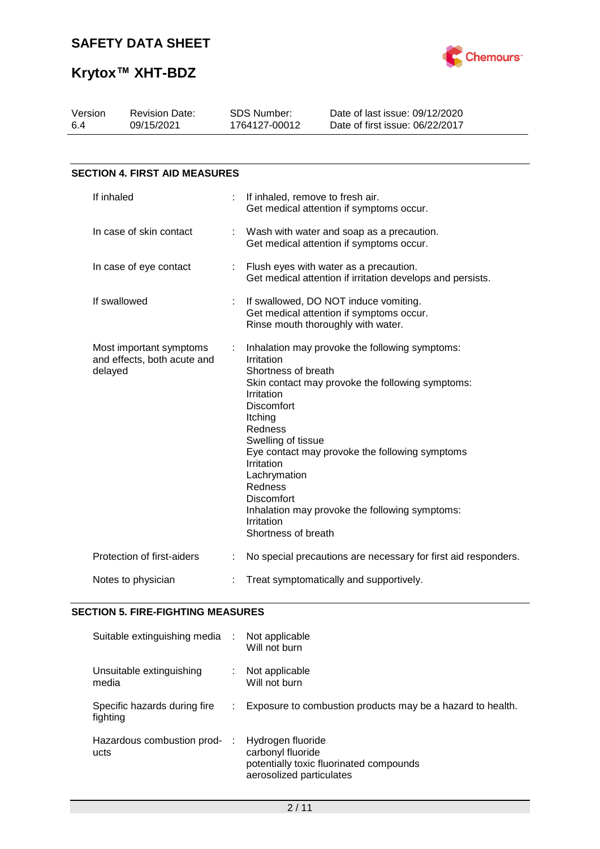

| Version<br>6.4 | <b>Revision Date:</b><br>09/15/2021                               |   | <b>SDS Number:</b><br>1764127-00012                                                                                                                                                                          | Date of last issue: 09/12/2020<br>Date of first issue: 06/22/2017                                                                                                                                      |
|----------------|-------------------------------------------------------------------|---|--------------------------------------------------------------------------------------------------------------------------------------------------------------------------------------------------------------|--------------------------------------------------------------------------------------------------------------------------------------------------------------------------------------------------------|
|                |                                                                   |   |                                                                                                                                                                                                              |                                                                                                                                                                                                        |
|                | <b>SECTION 4. FIRST AID MEASURES</b>                              |   |                                                                                                                                                                                                              |                                                                                                                                                                                                        |
|                | If inhaled                                                        |   | If inhaled, remove to fresh air.                                                                                                                                                                             | Get medical attention if symptoms occur.                                                                                                                                                               |
|                | In case of skin contact                                           |   |                                                                                                                                                                                                              | Wash with water and soap as a precaution.<br>Get medical attention if symptoms occur.                                                                                                                  |
|                | In case of eye contact                                            |   |                                                                                                                                                                                                              | Flush eyes with water as a precaution.<br>Get medical attention if irritation develops and persists.                                                                                                   |
|                | If swallowed                                                      |   |                                                                                                                                                                                                              | If swallowed, DO NOT induce vomiting.<br>Get medical attention if symptoms occur.<br>Rinse mouth thoroughly with water.                                                                                |
|                | Most important symptoms<br>and effects, both acute and<br>delayed | ÷ | Irritation<br>Shortness of breath<br>Irritation<br>Discomfort<br>Itching<br>Redness<br>Swelling of tissue<br>Irritation<br>Lachrymation<br>Redness<br><b>Discomfort</b><br>Irritation<br>Shortness of breath | Inhalation may provoke the following symptoms:<br>Skin contact may provoke the following symptoms:<br>Eye contact may provoke the following symptoms<br>Inhalation may provoke the following symptoms: |
|                | Protection of first-aiders                                        |   |                                                                                                                                                                                                              | No special precautions are necessary for first aid responders.                                                                                                                                         |
|                | Notes to physician                                                |   |                                                                                                                                                                                                              | Treat symptomatically and supportively.                                                                                                                                                                |

#### **SECTION 5. FIRE-FIGHTING MEASURES**

| Suitable extinguishing media :           |   | Not applicable<br>Will not burn                                                                               |
|------------------------------------------|---|---------------------------------------------------------------------------------------------------------------|
| Unsuitable extinguishing<br>media        |   | Not applicable<br>Will not burn                                                                               |
| Specific hazards during fire<br>fighting |   | Exposure to combustion products may be a hazard to health.                                                    |
| Hazardous combustion prod-<br>ucts       | ÷ | Hydrogen fluoride<br>carbonyl fluoride<br>potentially toxic fluorinated compounds<br>aerosolized particulates |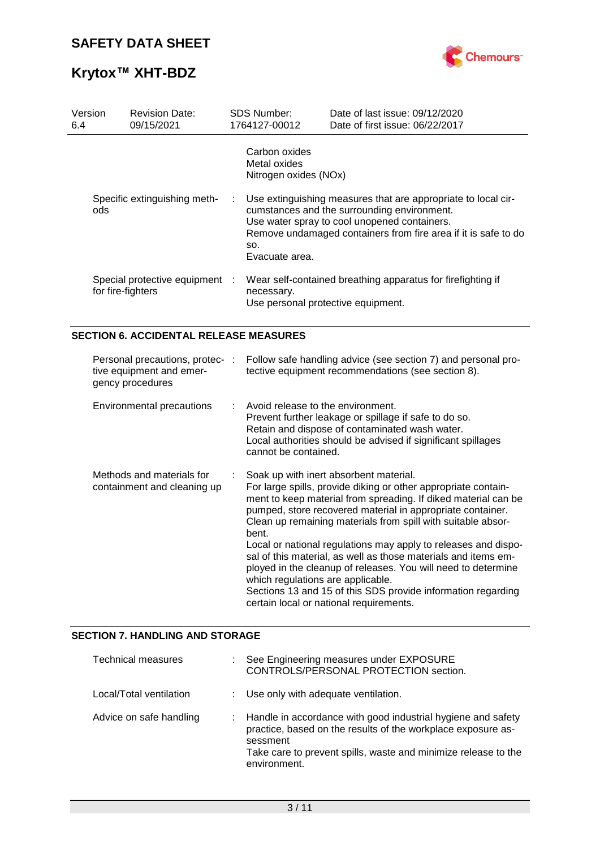

| Version<br>6.4 |                   | <b>Revision Date:</b><br>09/15/2021                                             |   | SDS Number:<br>1764127-00012                              | Date of last issue: 09/12/2020<br>Date of first issue: 06/22/2017                                                                                                                                                                                                                                                                                                                                                                                                                                             |
|----------------|-------------------|---------------------------------------------------------------------------------|---|-----------------------------------------------------------|---------------------------------------------------------------------------------------------------------------------------------------------------------------------------------------------------------------------------------------------------------------------------------------------------------------------------------------------------------------------------------------------------------------------------------------------------------------------------------------------------------------|
|                |                   |                                                                                 |   | Carbon oxides<br>Metal oxides<br>Nitrogen oxides (NOx)    |                                                                                                                                                                                                                                                                                                                                                                                                                                                                                                               |
|                | ods               | Specific extinguishing meth-                                                    | ÷ | SO.<br>Evacuate area.                                     | Use extinguishing measures that are appropriate to local cir-<br>cumstances and the surrounding environment.<br>Use water spray to cool unopened containers.<br>Remove undamaged containers from fire area if it is safe to do                                                                                                                                                                                                                                                                                |
|                | for fire-fighters | Special protective equipment                                                    |   | necessary.<br>Use personal protective equipment.          | Wear self-contained breathing apparatus for firefighting if                                                                                                                                                                                                                                                                                                                                                                                                                                                   |
|                |                   | <b>SECTION 6. ACCIDENTAL RELEASE MEASURES</b>                                   |   |                                                           |                                                                                                                                                                                                                                                                                                                                                                                                                                                                                                               |
|                |                   | Personal precautions, protec- :<br>tive equipment and emer-<br>gency procedures |   |                                                           | Follow safe handling advice (see section 7) and personal pro-<br>tective equipment recommendations (see section 8).                                                                                                                                                                                                                                                                                                                                                                                           |
|                |                   | Environmental precautions                                                       |   | Avoid release to the environment.<br>cannot be contained. | Prevent further leakage or spillage if safe to do so.<br>Retain and dispose of contaminated wash water.<br>Local authorities should be advised if significant spillages                                                                                                                                                                                                                                                                                                                                       |
|                |                   | Methods and materials for<br>containment and cleaning up                        |   | bent.<br>which regulations are applicable.                | Soak up with inert absorbent material.<br>For large spills, provide diking or other appropriate contain-<br>ment to keep material from spreading. If diked material can be<br>pumped, store recovered material in appropriate container.<br>Clean up remaining materials from spill with suitable absor-<br>Local or national regulations may apply to releases and dispo-<br>sal of this material, as well as those materials and items em-<br>ployed in the cleanup of releases. You will need to determine |

### **SECTION 7. HANDLING AND STORAGE**

| Technical measures      | : See Engineering measures under EXPOSURE<br>CONTROLS/PERSONAL PROTECTION section.                                                                                                                                           |
|-------------------------|------------------------------------------------------------------------------------------------------------------------------------------------------------------------------------------------------------------------------|
| Local/Total ventilation | : Use only with adequate ventilation.                                                                                                                                                                                        |
| Advice on safe handling | : Handle in accordance with good industrial hygiene and safety<br>practice, based on the results of the workplace exposure as-<br>sessment<br>Take care to prevent spills, waste and minimize release to the<br>environment. |

certain local or national requirements.

Sections 13 and 15 of this SDS provide information regarding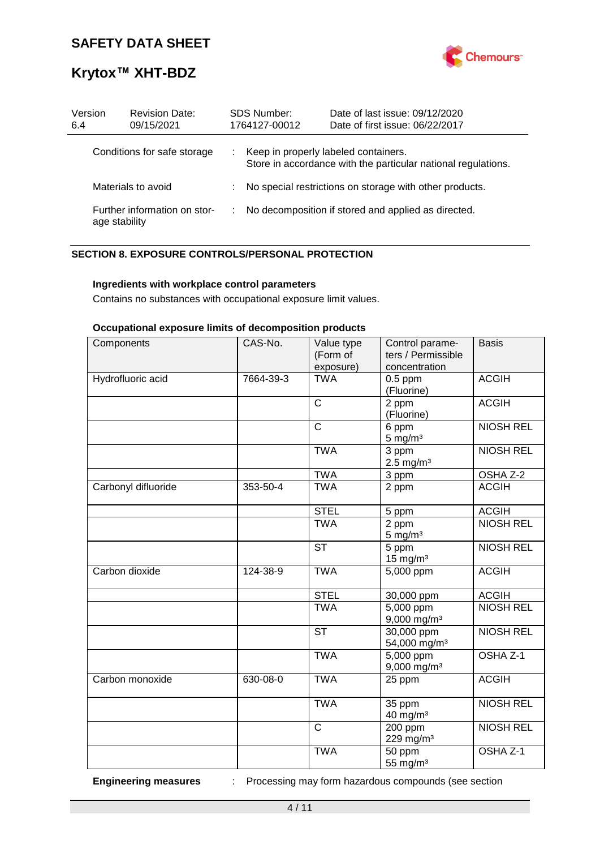

# **Krytox™ XHT-BDZ**

| Version<br>6.4     | <b>Revision Date:</b><br>09/15/2021           | <b>SDS Number:</b><br>1764127-00012  | Date of last issue: 09/12/2020<br>Date of first issue: 06/22/2017 |
|--------------------|-----------------------------------------------|--------------------------------------|-------------------------------------------------------------------|
|                    | Conditions for safe storage                   | Keep in properly labeled containers. | Store in accordance with the particular national regulations.     |
| Materials to avoid |                                               |                                      | No special restrictions on storage with other products.           |
|                    | Further information on stor-<br>age stability |                                      | No decomposition if stored and applied as directed.               |

### **SECTION 8. EXPOSURE CONTROLS/PERSONAL PROTECTION**

#### **Ingredients with workplace control parameters**

Contains no substances with occupational exposure limit values.

#### **Occupational exposure limits of decomposition products**

| Components          | CAS-No.   | Value type<br>(Form of<br>exposure) | Control parame-<br>ters / Permissible<br>concentration | <b>Basis</b>     |
|---------------------|-----------|-------------------------------------|--------------------------------------------------------|------------------|
| Hydrofluoric acid   | 7664-39-3 | <b>TWA</b>                          | $0.5$ ppm<br>(Fluorine)                                | <b>ACGIH</b>     |
|                     |           | $\overline{C}$                      | 2 ppm<br>(Fluorine)                                    | <b>ACGIH</b>     |
|                     |           | $\overline{\text{c}}$               | 6 ppm<br>$5$ mg/m <sup>3</sup>                         | <b>NIOSH REL</b> |
|                     |           | <b>TWA</b>                          | 3 ppm<br>$2.5 \text{ mg/m}^3$                          | <b>NIOSH REL</b> |
|                     |           | <b>TWA</b>                          | 3 ppm                                                  | OSHA Z-2         |
| Carbonyl difluoride | 353-50-4  | <b>TWA</b>                          | 2 ppm                                                  | <b>ACGIH</b>     |
|                     |           | <b>STEL</b>                         | 5 ppm                                                  | <b>ACGIH</b>     |
|                     |           | <b>TWA</b>                          | 2 ppm<br>$5 \text{ mg/m}^3$                            | <b>NIOSH REL</b> |
|                     |           | <b>ST</b>                           | 5 ppm<br>$15$ mg/m <sup>3</sup>                        | <b>NIOSH REL</b> |
| Carbon dioxide      | 124-38-9  | <b>TWA</b>                          | 5,000 ppm                                              | <b>ACGIH</b>     |
|                     |           | <b>STEL</b>                         | 30,000 ppm                                             | <b>ACGIH</b>     |
|                     |           | <b>TWA</b>                          | 5,000 ppm<br>9,000 mg/m <sup>3</sup>                   | <b>NIOSH REL</b> |
|                     |           | <b>ST</b>                           | 30,000 ppm<br>54,000 mg/m <sup>3</sup>                 | <b>NIOSH REL</b> |
|                     |           | <b>TWA</b>                          | 5,000 ppm<br>$9,000$ mg/m <sup>3</sup>                 | OSHA Z-1         |
| Carbon monoxide     | 630-08-0  | <b>TWA</b>                          | 25 ppm                                                 | <b>ACGIH</b>     |
|                     |           | <b>TWA</b>                          | 35 ppm<br>40 mg/m <sup>3</sup>                         | <b>NIOSH REL</b> |
|                     |           | $\overline{\text{c}}$               | 200 ppm<br>229 mg/m <sup>3</sup>                       | <b>NIOSH REL</b> |
|                     |           | <b>TWA</b>                          | 50 ppm<br>55 mg/ $m3$                                  | OSHA Z-1         |

**Engineering measures** : Processing may form hazardous compounds (see section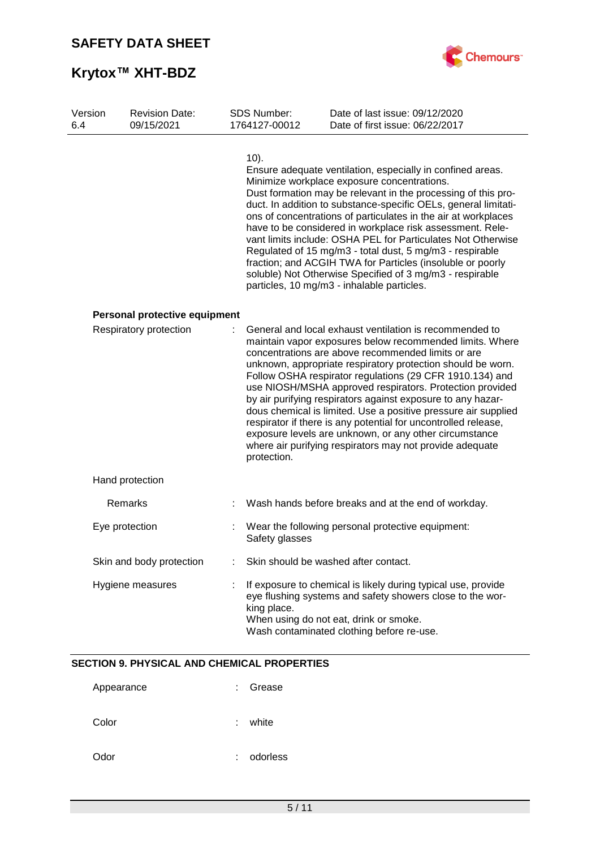

| Version<br>6.4 | <b>Revision Date:</b><br>09/15/2021 | <b>SDS Number:</b><br>1764127-00012 | Date of last issue: 09/12/2020<br>Date of first issue: 06/22/2017                                                                                                                                                                                                                                                                                                                                                                                                                                                                                                                                                                                                                         |
|----------------|-------------------------------------|-------------------------------------|-------------------------------------------------------------------------------------------------------------------------------------------------------------------------------------------------------------------------------------------------------------------------------------------------------------------------------------------------------------------------------------------------------------------------------------------------------------------------------------------------------------------------------------------------------------------------------------------------------------------------------------------------------------------------------------------|
|                |                                     | $10$ ).                             | Ensure adequate ventilation, especially in confined areas.<br>Minimize workplace exposure concentrations.<br>Dust formation may be relevant in the processing of this pro-<br>duct. In addition to substance-specific OELs, general limitati-<br>ons of concentrations of particulates in the air at workplaces<br>have to be considered in workplace risk assessment. Rele-<br>vant limits include: OSHA PEL for Particulates Not Otherwise<br>Regulated of 15 mg/m3 - total dust, 5 mg/m3 - respirable<br>fraction; and ACGIH TWA for Particles (insoluble or poorly<br>soluble) Not Otherwise Specified of 3 mg/m3 - respirable<br>particles, 10 mg/m3 - inhalable particles.          |
|                | Personal protective equipment       |                                     |                                                                                                                                                                                                                                                                                                                                                                                                                                                                                                                                                                                                                                                                                           |
|                | Respiratory protection              | protection.                         | General and local exhaust ventilation is recommended to<br>maintain vapor exposures below recommended limits. Where<br>concentrations are above recommended limits or are<br>unknown, appropriate respiratory protection should be worn.<br>Follow OSHA respirator regulations (29 CFR 1910.134) and<br>use NIOSH/MSHA approved respirators. Protection provided<br>by air purifying respirators against exposure to any hazar-<br>dous chemical is limited. Use a positive pressure air supplied<br>respirator if there is any potential for uncontrolled release,<br>exposure levels are unknown, or any other circumstance<br>where air purifying respirators may not provide adequate |
|                | Hand protection                     |                                     |                                                                                                                                                                                                                                                                                                                                                                                                                                                                                                                                                                                                                                                                                           |
|                | Remarks                             |                                     | Wash hands before breaks and at the end of workday.                                                                                                                                                                                                                                                                                                                                                                                                                                                                                                                                                                                                                                       |
|                | Eye protection                      | Safety glasses                      | Wear the following personal protective equipment:                                                                                                                                                                                                                                                                                                                                                                                                                                                                                                                                                                                                                                         |
|                | Skin and body protection            |                                     | Skin should be washed after contact.                                                                                                                                                                                                                                                                                                                                                                                                                                                                                                                                                                                                                                                      |
|                | Hygiene measures                    | king place.                         | If exposure to chemical is likely during typical use, provide<br>eye flushing systems and safety showers close to the wor-<br>When using do not eat, drink or smoke.<br>Wash contaminated clothing before re-use.                                                                                                                                                                                                                                                                                                                                                                                                                                                                         |

### **SECTION 9. PHYSICAL AND CHEMICAL PROPERTIES**

| Appearance | ٠ | Grease   |
|------------|---|----------|
| Color      | ٠ | white    |
| Odor       | ٠ | odorless |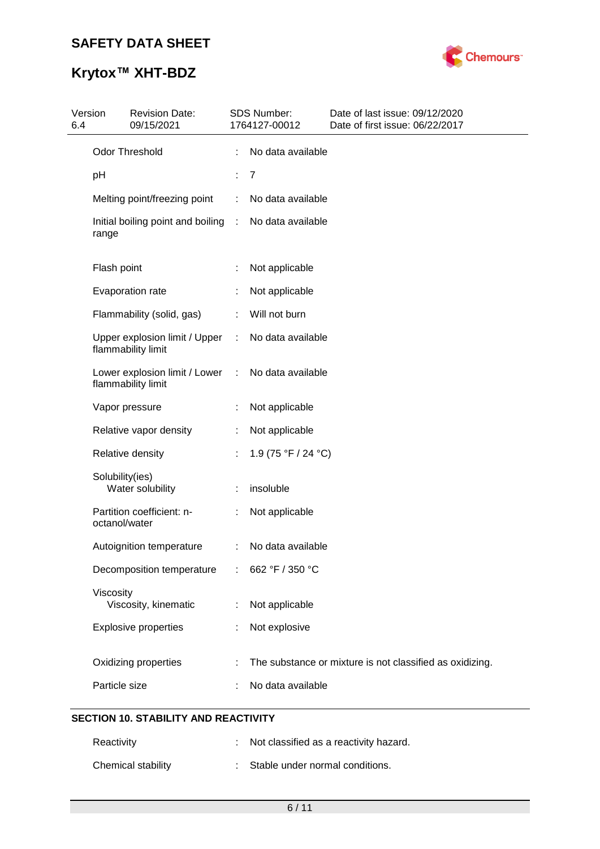

| 6.4 | Version         | <b>Revision Date:</b><br>09/15/2021                 |    | SDS Number:<br>1764127-00012 | Date of last issue: 09/12/2020<br>Date of first issue: 06/22/2017 |
|-----|-----------------|-----------------------------------------------------|----|------------------------------|-------------------------------------------------------------------|
|     |                 | Odor Threshold                                      |    | No data available            |                                                                   |
|     | рH              |                                                     | ÷. | $\overline{7}$               |                                                                   |
|     |                 | Melting point/freezing point                        | ÷  | No data available            |                                                                   |
|     | range           | Initial boiling point and boiling                   | ÷  | No data available            |                                                                   |
|     | Flash point     |                                                     |    | Not applicable               |                                                                   |
|     |                 | Evaporation rate                                    |    | Not applicable               |                                                                   |
|     |                 | Flammability (solid, gas)                           |    | Will not burn                |                                                                   |
|     |                 | Upper explosion limit / Upper<br>flammability limit | ÷  | No data available            |                                                                   |
|     |                 | Lower explosion limit / Lower<br>flammability limit | ÷  | No data available            |                                                                   |
|     |                 | Vapor pressure                                      |    | Not applicable               |                                                                   |
|     |                 | Relative vapor density                              |    | Not applicable               |                                                                   |
|     |                 | Relative density                                    |    | 1.9 (75 °F / 24 °C)          |                                                                   |
|     | Solubility(ies) | Water solubility                                    |    | insoluble                    |                                                                   |
|     | octanol/water   | Partition coefficient: n-                           | ÷  | Not applicable               |                                                                   |
|     |                 | Autoignition temperature                            | ÷  | No data available            |                                                                   |
|     |                 | Decomposition temperature                           |    | 662 °F / 350 °C              |                                                                   |
|     | Viscosity       | Viscosity, kinematic                                |    | Not applicable               |                                                                   |
|     |                 | <b>Explosive properties</b>                         |    | Not explosive                |                                                                   |
|     |                 | Oxidizing properties                                |    |                              | The substance or mixture is not classified as oxidizing.          |
|     | Particle size   |                                                     |    | No data available            |                                                                   |
|     |                 |                                                     |    |                              |                                                                   |

## **SECTION 10. STABILITY AND REACTIVITY**

| Reactivity         | : Not classified as a reactivity hazard. |
|--------------------|------------------------------------------|
| Chemical stability | : Stable under normal conditions.        |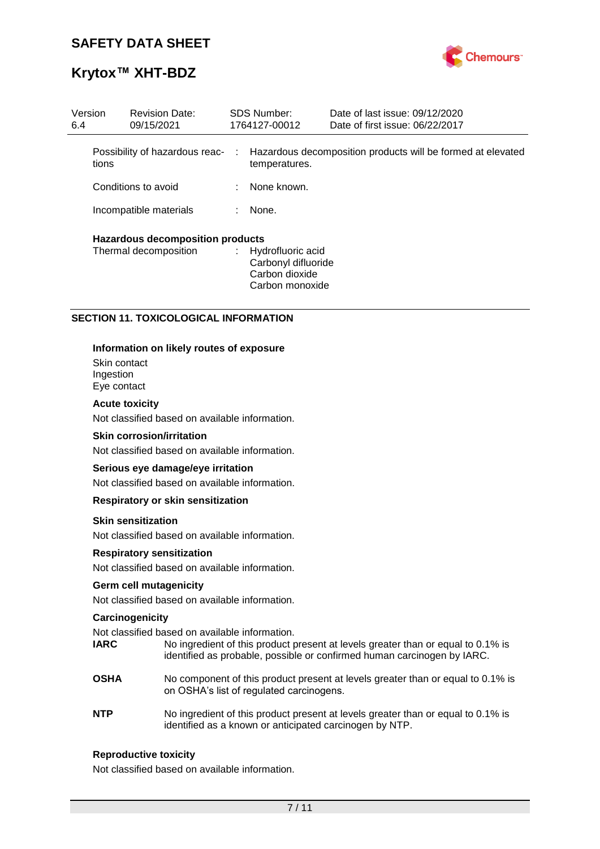

| Version<br><b>Revision Date:</b><br>09/15/2021<br>6.4 |                                         | <b>SDS Number:</b><br>1764127-00012 |  | Date of last issue: 09/12/2020<br>Date of first issue: 06/22/2017               |                                                               |
|-------------------------------------------------------|-----------------------------------------|-------------------------------------|--|---------------------------------------------------------------------------------|---------------------------------------------------------------|
|                                                       | tions                                   | Possibility of hazardous reac-      |  | temperatures.                                                                   | : Hazardous decomposition products will be formed at elevated |
|                                                       |                                         | Conditions to avoid                 |  | $\therefore$ None known.                                                        |                                                               |
|                                                       |                                         | Incompatible materials              |  | None.                                                                           |                                                               |
|                                                       | <b>Hazardous decomposition products</b> |                                     |  |                                                                                 |                                                               |
|                                                       |                                         | Thermal decomposition               |  | : Hydrofluoric acid<br>Carbonyl difluoride<br>Carbon dioxide<br>Carbon monoxide |                                                               |

### **SECTION 11. TOXICOLOGICAL INFORMATION**

#### **Information on likely routes of exposure**

Skin contact Ingestion Eye contact

#### **Acute toxicity**

Not classified based on available information.

#### **Skin corrosion/irritation**

Not classified based on available information.

#### **Serious eye damage/eye irritation**

Not classified based on available information.

#### **Respiratory or skin sensitization**

#### **Skin sensitization**

Not classified based on available information.

#### **Respiratory sensitization**

Not classified based on available information.

#### **Germ cell mutagenicity**

Not classified based on available information.

#### **Carcinogenicity**

Not classified based on available information.

- **IARC** No ingredient of this product present at levels greater than or equal to 0.1% is identified as probable, possible or confirmed human carcinogen by IARC.
- **OSHA** No component of this product present at levels greater than or equal to 0.1% is on OSHA's list of regulated carcinogens.
- **NTP** No ingredient of this product present at levels greater than or equal to 0.1% is identified as a known or anticipated carcinogen by NTP.

#### **Reproductive toxicity**

Not classified based on available information.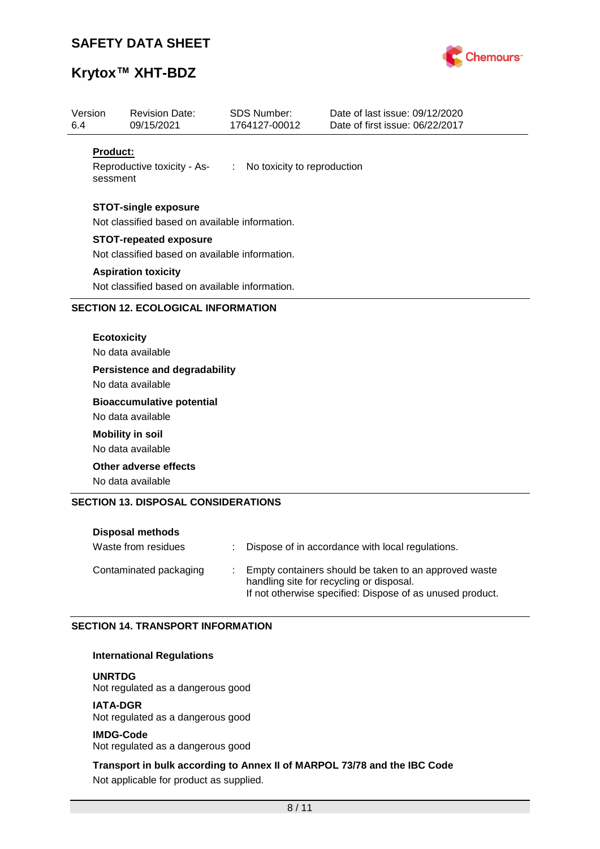

# **Krytox™ XHT-BDZ**

| Version<br>6.4 | <b>Revision Date:</b><br>09/15/2021                                                      | <b>SDS Number:</b><br>1764127-00012 | Date of last issue: 09/12/2020<br>Date of first issue: 06/22/2017 |
|----------------|------------------------------------------------------------------------------------------|-------------------------------------|-------------------------------------------------------------------|
|                | <b>Product:</b><br>Reproductive toxicity - As- : No toxicity to reproduction<br>sessment |                                     |                                                                   |
|                | <b>STOT-single exposure</b><br>Not classified based on available information.            |                                     |                                                                   |
|                | <b>STOT-repeated exposure</b><br>Not classified based on available information.          |                                     |                                                                   |
|                | <b>Aspiration toxicity</b><br>Not classified based on available information.             |                                     |                                                                   |
|                | <b>SECTION 12. ECOLOGICAL INFORMATION</b>                                                |                                     |                                                                   |
|                | <b>Ecotoxicity</b><br>No data available                                                  |                                     |                                                                   |
|                | <b>Persistence and degradability</b><br>No data available                                |                                     |                                                                   |
|                | <b>Bioaccumulative potential</b><br>No data available                                    |                                     |                                                                   |
|                | <b>Mobility in soil</b><br>No data available                                             |                                     |                                                                   |
|                | Other adverse effects<br>No data available                                               |                                     |                                                                   |
|                | <b>SECTION 13. DISPOSAL CONSIDERATIONS</b>                                               |                                     |                                                                   |

| <b>Disposal methods</b> |    |                                                                                                                                                                |
|-------------------------|----|----------------------------------------------------------------------------------------------------------------------------------------------------------------|
| Waste from residues     | ÷. | Dispose of in accordance with local regulations.                                                                                                               |
| Contaminated packaging  |    | Empty containers should be taken to an approved waste<br>handling site for recycling or disposal.<br>If not otherwise specified: Dispose of as unused product. |

### **SECTION 14. TRANSPORT INFORMATION**

#### **International Regulations**

**UNRTDG**

Not regulated as a dangerous good

**IATA-DGR** Not regulated as a dangerous good

**IMDG-Code** Not regulated as a dangerous good

**Transport in bulk according to Annex II of MARPOL 73/78 and the IBC Code** Not applicable for product as supplied.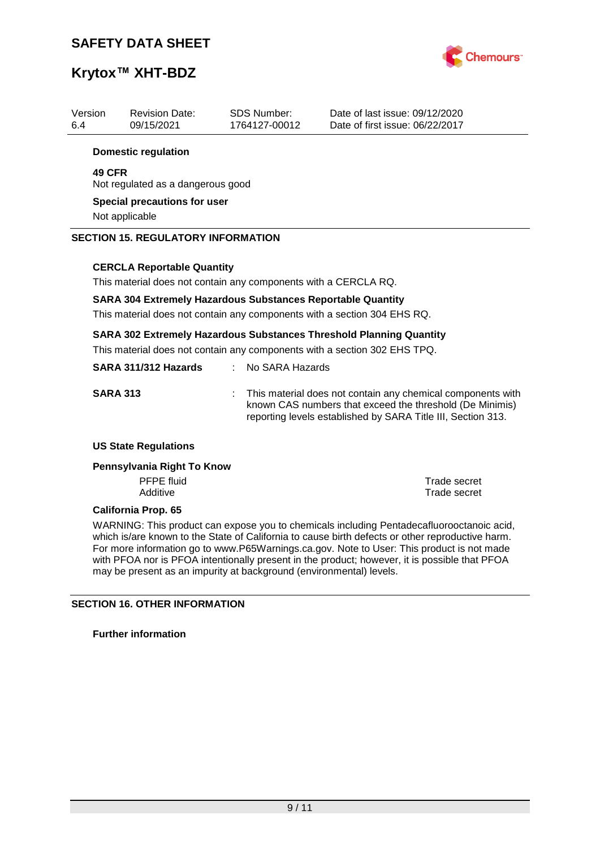

| Version<br>6.4 | <b>Revision Date:</b><br>09/15/2021                                                                                                                     | <b>SDS Number:</b><br>1764127-00012 | Date of last issue: 09/12/2020<br>Date of first issue: 06/22/2017 |  |  |
|----------------|---------------------------------------------------------------------------------------------------------------------------------------------------------|-------------------------------------|-------------------------------------------------------------------|--|--|
|                | <b>Domestic regulation</b>                                                                                                                              |                                     |                                                                   |  |  |
|                | <b>49 CFR</b><br>Not regulated as a dangerous good                                                                                                      |                                     |                                                                   |  |  |
|                | Special precautions for user<br>Not applicable                                                                                                          |                                     |                                                                   |  |  |
|                | <b>SECTION 15. REGULATORY INFORMATION</b>                                                                                                               |                                     |                                                                   |  |  |
|                | <b>CERCLA Reportable Quantity</b>                                                                                                                       |                                     |                                                                   |  |  |
|                | This material does not contain any components with a CERCLA RQ.                                                                                         |                                     |                                                                   |  |  |
|                | <b>SARA 304 Extremely Hazardous Substances Reportable Quantity</b><br>This material does not contain any components with a section 304 EHS RQ.          |                                     |                                                                   |  |  |
|                | <b>SARA 302 Extremely Hazardous Substances Threshold Planning Quantity</b><br>This material does not contain any components with a section 302 EHS TPQ. |                                     |                                                                   |  |  |

| SARA 311/312 Hazards | $\therefore$ No SARA Hazards                                                                                                                                                              |
|----------------------|-------------------------------------------------------------------------------------------------------------------------------------------------------------------------------------------|
| <b>SARA 313</b>      | : This material does not contain any chemical components with<br>known CAS numbers that exceed the threshold (De Minimis)<br>reporting levels established by SARA Title III, Section 313. |

#### **US State Regulations**

#### **Pennsylvania Right To Know**

PFPE fluid<br>
Additive<br>
Additive<br>
Trade secret

**Trade secret** 

#### **California Prop. 65**

WARNING: This product can expose you to chemicals including Pentadecafluorooctanoic acid, which is/are known to the State of California to cause birth defects or other reproductive harm. For more information go to www.P65Warnings.ca.gov. Note to User: This product is not made with PFOA nor is PFOA intentionally present in the product; however, it is possible that PFOA may be present as an impurity at background (environmental) levels.

### **SECTION 16. OTHER INFORMATION**

**Further information**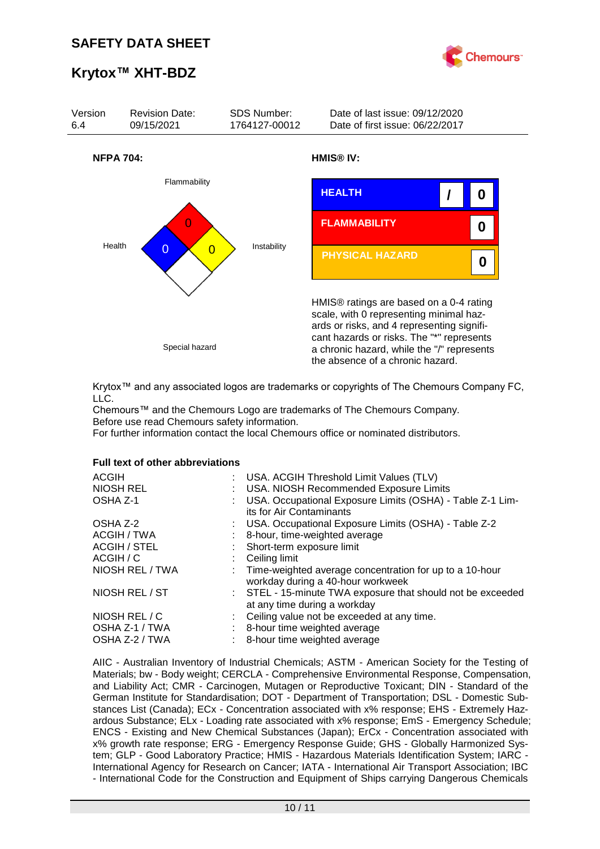



Krytox™ and any associated logos are trademarks or copyrights of The Chemours Company FC, LLC.

Chemours™ and the Chemours Logo are trademarks of The Chemours Company. Before use read Chemours safety information.

For further information contact the local Chemours office or nominated distributors.

#### **Full text of other abbreviations**

| <b>ACGIH</b><br>NIOSH REL<br>OSHA Z-1 | : USA. ACGIH Threshold Limit Values (TLV)<br>: USA. NIOSH Recommended Exposure Limits<br>USA. Occupational Exposure Limits (OSHA) - Table Z-1 Lim- |
|---------------------------------------|----------------------------------------------------------------------------------------------------------------------------------------------------|
| OSHA Z-2                              | its for Air Contaminants<br>: USA. Occupational Exposure Limits (OSHA) - Table Z-2                                                                 |
| ACGIH / TWA                           | 8-hour, time-weighted average                                                                                                                      |
| ACGIH / STEL                          | : Short-term exposure limit                                                                                                                        |
| ACGIH / C                             | $\therefore$ Ceiling limit                                                                                                                         |
| NIOSH REL / TWA                       | : Time-weighted average concentration for up to a 10-hour<br>workday during a 40-hour workweek                                                     |
| NIOSH REL / ST                        | : STEL - 15-minute TWA exposure that should not be exceeded<br>at any time during a workday                                                        |
| NIOSH REL / C                         | : Ceiling value not be exceeded at any time.                                                                                                       |
| OSHA Z-1 / TWA                        | : 8-hour time weighted average                                                                                                                     |
| OSHA Z-2 / TWA                        | : 8-hour time weighted average                                                                                                                     |

AIIC - Australian Inventory of Industrial Chemicals; ASTM - American Society for the Testing of Materials; bw - Body weight; CERCLA - Comprehensive Environmental Response, Compensation, and Liability Act; CMR - Carcinogen, Mutagen or Reproductive Toxicant; DIN - Standard of the German Institute for Standardisation; DOT - Department of Transportation; DSL - Domestic Substances List (Canada); ECx - Concentration associated with x% response; EHS - Extremely Hazardous Substance; ELx - Loading rate associated with x% response; EmS - Emergency Schedule; ENCS - Existing and New Chemical Substances (Japan); ErCx - Concentration associated with x% growth rate response; ERG - Emergency Response Guide; GHS - Globally Harmonized System; GLP - Good Laboratory Practice; HMIS - Hazardous Materials Identification System; IARC - International Agency for Research on Cancer; IATA - International Air Transport Association; IBC - International Code for the Construction and Equipment of Ships carrying Dangerous Chemicals